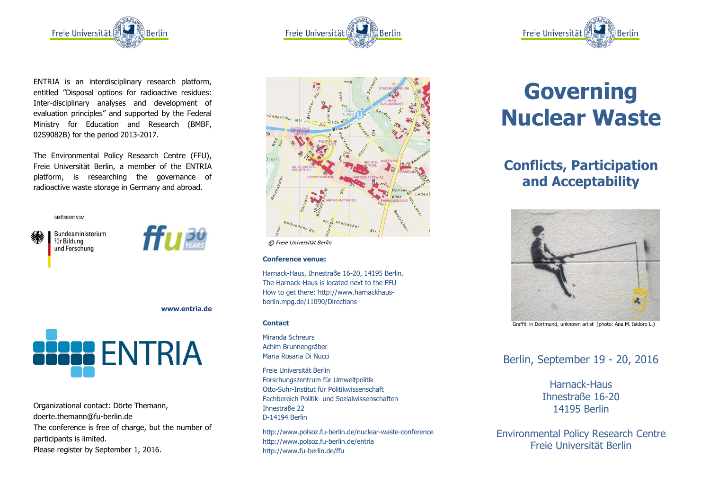

ENTRIA is an interdisciplinary research platform, entitled "Disposal options for radioactive residues: Inter-disciplinary analyses and development of evaluation principles" and supported by the Federal Ministry for Education and Research (BMBF, 02S9082B) for the period 2013-2017.

The Environmental Policy Research Centre (FFU), Freie Universität Berlin, a member of the ENTRIA platform, is researching the governance of radioactive waste storage in Germany and abroad.

**GEEÖRDERT VOM** 

Bundesministerium für Bildung und Forschung



**www.entria.de**



Organizational contact: Dörte Themann, doerte.themann@fu-berlin.de The conference is free of charge, but the number of participants is limited. Please register by September 1, 2016.





© Freie Universität Berlin

## **Conference venue:**

Harnack-Haus, Ihnestraße 16-20, 14195 Berlin. The Harnack-Haus is located next to the FFU How to get there: http://www.harnackhausberlin.mpg.de/11090/Directions

#### **Contact**

Miranda Schreurs Achim Brunnengräber Maria Rosaria Di Nucci

Freie Universität Berlin Forschungszentrum für Umweltpolitik Otto-Suhr-Institut für Politikwissenschaft Fachbereich Politik- und Sozialwissenschaften Ihnestraße 22 D-14194 Berlin

http://www.polsoz.fu-berlin.de/nuclear-waste-conference http://www.polsoz.fu-berlin.de/entria http://www.fu-berlin.de/ffu



# **Governing Nuclear Waste**

# **Conflicts, Participation and Acceptability**



Graffiti in Dortmund, unknown artist (photo: Ana M. Isidoro L.)

Berlin, September 19 - 20, 2016

Harnack-Haus Ihnestraße 16-20 14195 Berlin

Environmental Policy Research Centre Freie Universität Berlin